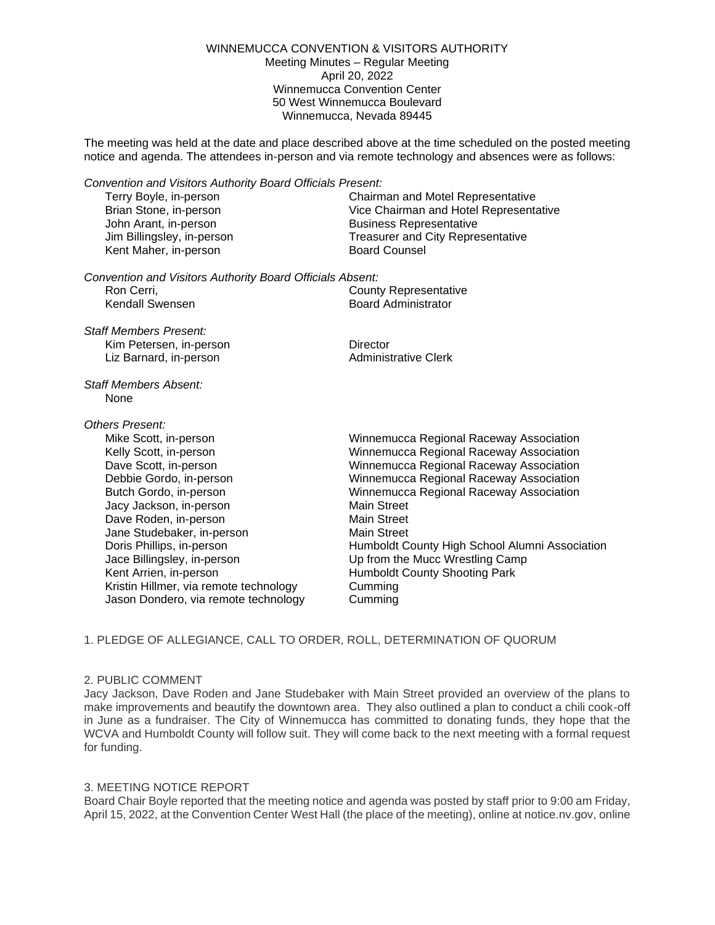#### WINNEMUCCA CONVENTION & VISITORS AUTHORITY Meeting Minutes – Regular Meeting April 20, 2022 Winnemucca Convention Center 50 West Winnemucca Boulevard Winnemucca, Nevada 89445

The meeting was held at the date and place described above at the time scheduled on the posted meeting notice and agenda. The attendees in-person and via remote technology and absences were as follows:

*Convention and Visitors Authority Board Officials Present:*

John Arant, in-person Business Representative Kent Maher, in-person **Board Counsel** 

Terry Boyle, in-person Chairman and Motel Representative Brian Stone, in-person Vice Chairman and Hotel Representative Jim Billingsley, in-person Treasurer and City Representative

*Convention and Visitors Authority Board Officials Absent:* Ron Cerri, County Representative<br>
Kendall Swensen 
Kendall Swensen<br>
County Representative<br>
County Representative

**Board Administrator** 

*Staff Members Present:* Kim Petersen, in-person **Director** Liz Barnard, in-person Administrative Clerk

*Staff Members Absent:* None

# *Others Present:*

Mike Scott, in-person Winnemucca Regional Raceway Association Jacy Jackson, in-person Main Street Dave Roden, in-person Main Street Jane Studebaker, in-person Main Street Jace Billingsley, in-person Up from the Mucc Wrestling Camp Kent Arrien, in-person **Humboldt County Shooting Park** Kristin Hillmer, via remote technology Cumming Jason Dondero, via remote technology Cumming

Kelly Scott, in-person Winnemucca Regional Raceway Association Dave Scott, in-person Winnemucca Regional Raceway Association Debbie Gordo, in-person Winnemucca Regional Raceway Association Butch Gordo, in-person Winnemucca Regional Raceway Association Doris Phillips, in-person Humboldt County High School Alumni Association

# 1. PLEDGE OF ALLEGIANCE, CALL TO ORDER, ROLL, DETERMINATION OF QUORUM

## 2. PUBLIC COMMENT

Jacy Jackson, Dave Roden and Jane Studebaker with Main Street provided an overview of the plans to make improvements and beautify the downtown area. They also outlined a plan to conduct a chili cook-off in June as a fundraiser. The City of Winnemucca has committed to donating funds, they hope that the WCVA and Humboldt County will follow suit. They will come back to the next meeting with a formal request for funding.

## 3. MEETING NOTICE REPORT

Board Chair Boyle reported that the meeting notice and agenda was posted by staff prior to 9:00 am Friday, April 15, 2022, at the Convention Center West Hall (the place of the meeting), online at notice.nv.gov, online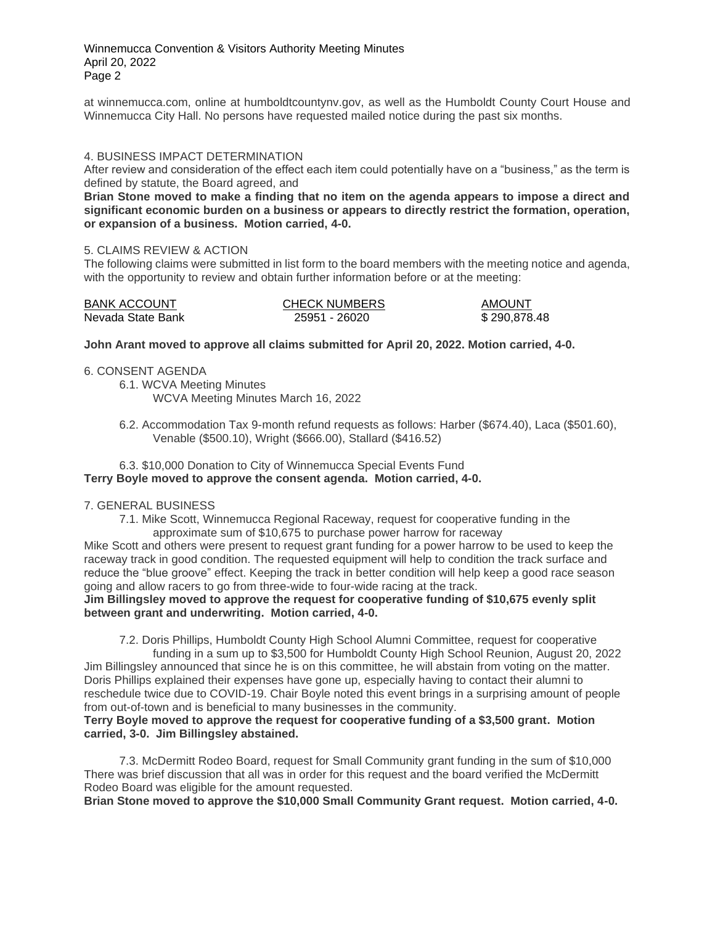Winnemucca Convention & Visitors Authority Meeting Minutes April 20, 2022 Page 2

at winnemucca.com, online at humboldtcountynv.gov, as well as the Humboldt County Court House and Winnemucca City Hall. No persons have requested mailed notice during the past six months.

## 4. BUSINESS IMPACT DETERMINATION

After review and consideration of the effect each item could potentially have on a "business," as the term is defined by statute, the Board agreed, and

**Brian Stone moved to make a finding that no item on the agenda appears to impose a direct and significant economic burden on a business or appears to directly restrict the formation, operation, or expansion of a business. Motion carried, 4-0.**

#### 5. CLAIMS REVIEW & ACTION

The following claims were submitted in list form to the board members with the meeting notice and agenda, with the opportunity to review and obtain further information before or at the meeting:

| <b>BANK ACCOUNT</b> | <b>CHECK NUMBERS</b> | <b>AMOUNT</b> |
|---------------------|----------------------|---------------|
| Nevada State Bank   | 25951 - 26020        | \$290,878.48  |

**John Arant moved to approve all claims submitted for April 20, 2022. Motion carried, 4-0.**

6. CONSENT AGENDA

6.1. WCVA Meeting Minutes

WCVA Meeting Minutes March 16, 2022

6.2. Accommodation Tax 9-month refund requests as follows: Harber (\$674.40), Laca (\$501.60), Venable (\$500.10), Wright (\$666.00), Stallard (\$416.52)

## 6.3. \$10,000 Donation to City of Winnemucca Special Events Fund **Terry Boyle moved to approve the consent agenda. Motion carried, 4-0.**

## 7. GENERAL BUSINESS

7.1. Mike Scott, Winnemucca Regional Raceway, request for cooperative funding in the approximate sum of \$10,675 to purchase power harrow for raceway

Mike Scott and others were present to request grant funding for a power harrow to be used to keep the raceway track in good condition. The requested equipment will help to condition the track surface and reduce the "blue groove" effect. Keeping the track in better condition will help keep a good race season going and allow racers to go from three-wide to four-wide racing at the track.

**Jim Billingsley moved to approve the request for cooperative funding of \$10,675 evenly split between grant and underwriting. Motion carried, 4-0.**

7.2. Doris Phillips, Humboldt County High School Alumni Committee, request for cooperative funding in a sum up to \$3,500 for Humboldt County High School Reunion, August 20, 2022

Jim Billingsley announced that since he is on this committee, he will abstain from voting on the matter. Doris Phillips explained their expenses have gone up, especially having to contact their alumni to reschedule twice due to COVID-19. Chair Boyle noted this event brings in a surprising amount of people from out-of-town and is beneficial to many businesses in the community.

## **Terry Boyle moved to approve the request for cooperative funding of a \$3,500 grant. Motion carried, 3-0. Jim Billingsley abstained.**

7.3. McDermitt Rodeo Board, request for Small Community grant funding in the sum of \$10,000 There was brief discussion that all was in order for this request and the board verified the McDermitt Rodeo Board was eligible for the amount requested.

**Brian Stone moved to approve the \$10,000 Small Community Grant request. Motion carried, 4-0.**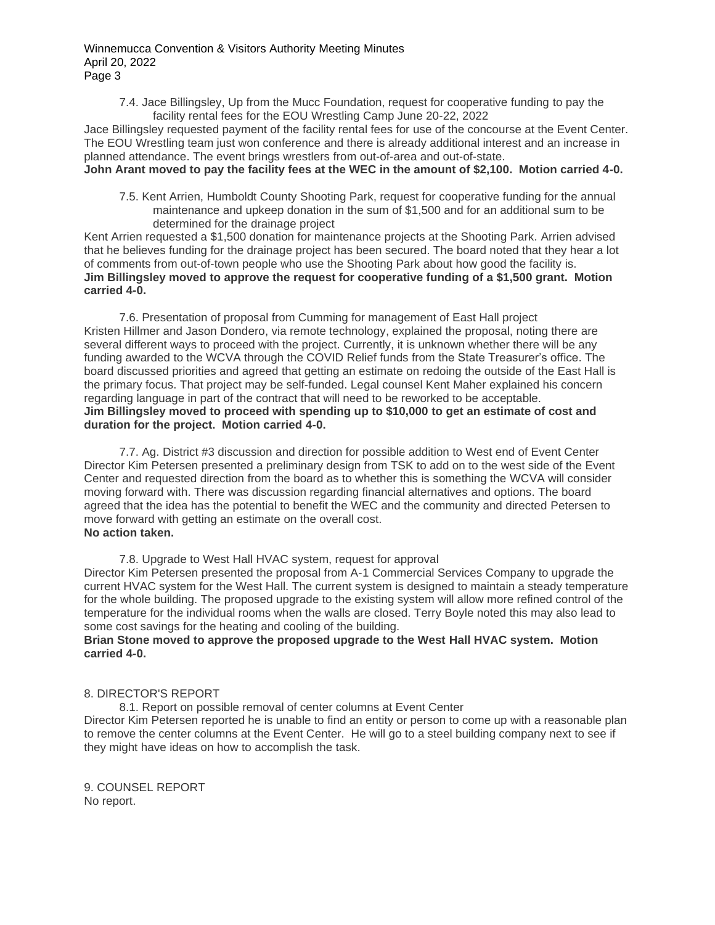7.4. Jace Billingsley, Up from the Mucc Foundation, request for cooperative funding to pay the facility rental fees for the EOU Wrestling Camp June 20-22, 2022

Jace Billingsley requested payment of the facility rental fees for use of the concourse at the Event Center. The EOU Wrestling team just won conference and there is already additional interest and an increase in planned attendance. The event brings wrestlers from out-of-area and out-of-state.

# **John Arant moved to pay the facility fees at the WEC in the amount of \$2,100. Motion carried 4-0.**

7.5. Kent Arrien, Humboldt County Shooting Park, request for cooperative funding for the annual maintenance and upkeep donation in the sum of \$1,500 and for an additional sum to be determined for the drainage project

Kent Arrien requested a \$1,500 donation for maintenance projects at the Shooting Park. Arrien advised that he believes funding for the drainage project has been secured. The board noted that they hear a lot of comments from out-of-town people who use the Shooting Park about how good the facility is. **Jim Billingsley moved to approve the request for cooperative funding of a \$1,500 grant. Motion carried 4-0.**

7.6. Presentation of proposal from Cumming for management of East Hall project Kristen Hillmer and Jason Dondero, via remote technology, explained the proposal, noting there are several different ways to proceed with the project. Currently, it is unknown whether there will be any funding awarded to the WCVA through the COVID Relief funds from the State Treasurer's office. The board discussed priorities and agreed that getting an estimate on redoing the outside of the East Hall is the primary focus. That project may be self-funded. Legal counsel Kent Maher explained his concern regarding language in part of the contract that will need to be reworked to be acceptable. **Jim Billingsley moved to proceed with spending up to \$10,000 to get an estimate of cost and duration for the project. Motion carried 4-0.**

7.7. Ag. District #3 discussion and direction for possible addition to West end of Event Center Director Kim Petersen presented a preliminary design from TSK to add on to the west side of the Event Center and requested direction from the board as to whether this is something the WCVA will consider moving forward with. There was discussion regarding financial alternatives and options. The board agreed that the idea has the potential to benefit the WEC and the community and directed Petersen to move forward with getting an estimate on the overall cost. **No action taken.**

7.8. Upgrade to West Hall HVAC system, request for approval Director Kim Petersen presented the proposal from A-1 Commercial Services Company to upgrade the current HVAC system for the West Hall. The current system is designed to maintain a steady temperature for the whole building. The proposed upgrade to the existing system will allow more refined control of the temperature for the individual rooms when the walls are closed. Terry Boyle noted this may also lead to some cost savings for the heating and cooling of the building.

# **Brian Stone moved to approve the proposed upgrade to the West Hall HVAC system. Motion carried 4-0.**

# 8. DIRECTOR'S REPORT

8.1. Report on possible removal of center columns at Event Center Director Kim Petersen reported he is unable to find an entity or person to come up with a reasonable plan to remove the center columns at the Event Center. He will go to a steel building company next to see if they might have ideas on how to accomplish the task.

9. COUNSEL REPORT No report.